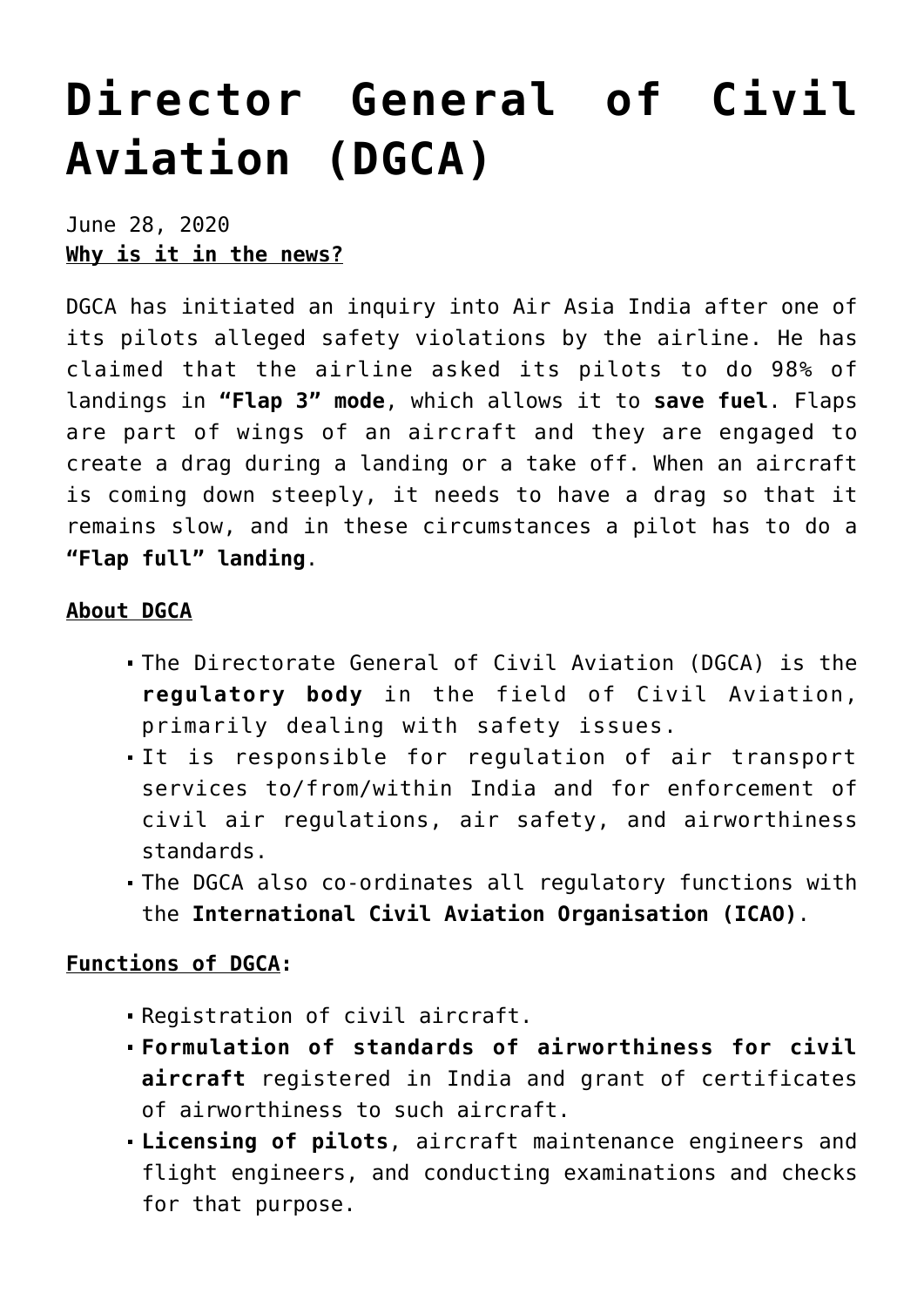## **[Director General of Civil](https://journalsofindia.com/director-general-of-civil-aviation-dgca/) [Aviation \(DGCA\)](https://journalsofindia.com/director-general-of-civil-aviation-dgca/)**

June 28, 2020 **Why is it in the news?**

DGCA has initiated an inquiry into Air Asia India after one of its pilots alleged safety violations by the airline. He has claimed that the airline asked its pilots to do 98% of landings in **"Flap 3" mode**, which allows it to **save fuel**. Flaps are part of wings of an aircraft and they are engaged to create a drag during a landing or a take off. When an aircraft is coming down steeply, it needs to have a drag so that it remains slow, and in these circumstances a pilot has to do a **"Flap full" landing**.

## **About DGCA**

- The Directorate General of Civil Aviation (DGCA) is the **regulatory body** in the field of Civil Aviation, primarily dealing with safety issues.
- It is responsible for regulation of air transport services to/from/within India and for enforcement of civil air regulations, air safety, and airworthiness standards.
- The DGCA also co-ordinates all regulatory functions with the **International Civil Aviation Organisation (ICAO)**.

## **Functions of DGCA:**

- Registration of civil aircraft.
- **Formulation of standards of airworthiness for civil aircraft** registered in India and grant of certificates of airworthiness to such aircraft.
- **Licensing of pilots**, aircraft maintenance engineers and flight engineers, and conducting examinations and checks for that purpose.